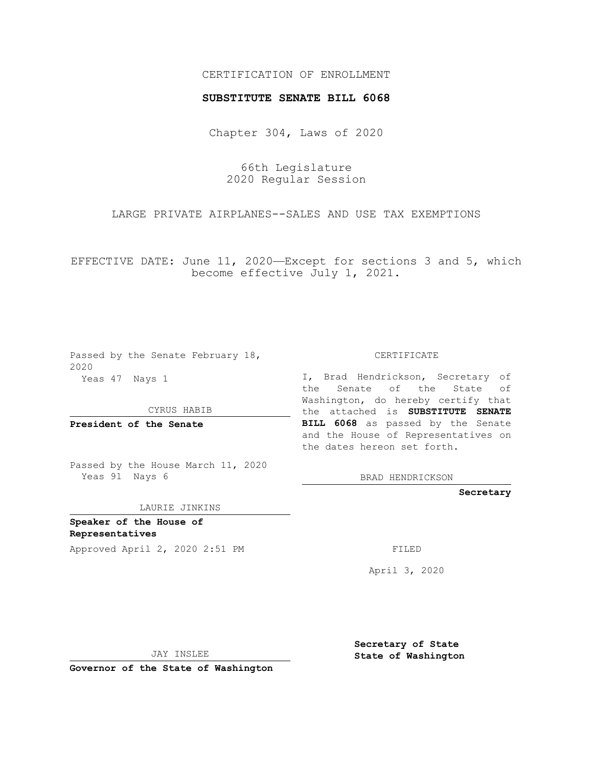## CERTIFICATION OF ENROLLMENT

## **SUBSTITUTE SENATE BILL 6068**

Chapter 304, Laws of 2020

66th Legislature 2020 Regular Session

LARGE PRIVATE AIRPLANES--SALES AND USE TAX EXEMPTIONS

EFFECTIVE DATE: June 11, 2020—Except for sections 3 and 5, which become effective July 1, 2021.

Passed by the Senate February 18, 2020 Yeas 47 Nays 1

CYRUS HABIB

**President of the Senate**

Passed by the House March 11, 2020 Yeas 91 Nays 6

LAURIE JINKINS

**Speaker of the House of Representatives**

Approved April 2, 2020 2:51 PM

CERTIFICATE

I, Brad Hendrickson, Secretary of the Senate of the State of Washington, do hereby certify that the attached is **SUBSTITUTE SENATE BILL 6068** as passed by the Senate and the House of Representatives on the dates hereon set forth.

BRAD HENDRICKSON

**Secretary**

April 3, 2020

JAY INSLEE

**Governor of the State of Washington**

**Secretary of State State of Washington**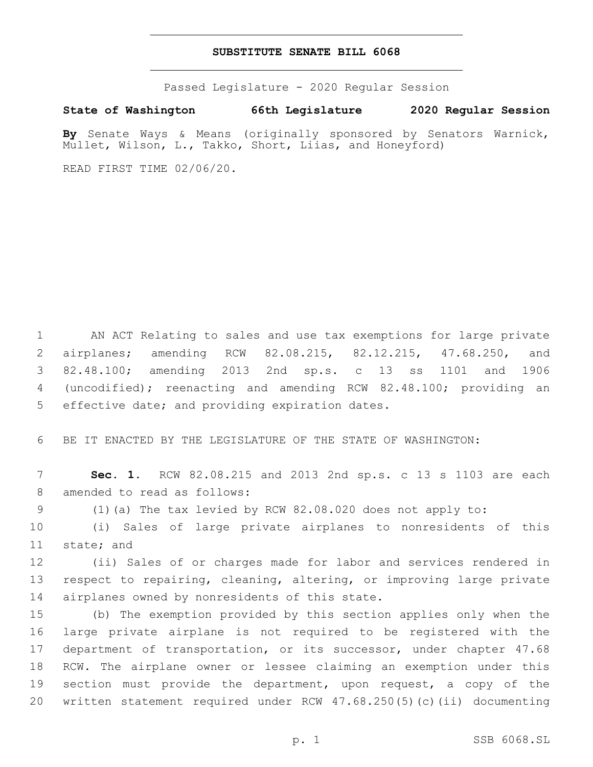## **SUBSTITUTE SENATE BILL 6068**

Passed Legislature - 2020 Regular Session

**State of Washington 66th Legislature 2020 Regular Session**

**By** Senate Ways & Means (originally sponsored by Senators Warnick, Mullet, Wilson, L., Takko, Short, Liias, and Honeyford)

READ FIRST TIME 02/06/20.

 AN ACT Relating to sales and use tax exemptions for large private airplanes; amending RCW 82.08.215, 82.12.215, 47.68.250, and 82.48.100; amending 2013 2nd sp.s. c 13 ss 1101 and 1906 (uncodified); reenacting and amending RCW 82.48.100; providing an 5 effective date; and providing expiration dates.

6 BE IT ENACTED BY THE LEGISLATURE OF THE STATE OF WASHINGTON:

7 **Sec. 1.** RCW 82.08.215 and 2013 2nd sp.s. c 13 s 1103 are each 8 amended to read as follows:

9 (1)(a) The tax levied by RCW 82.08.020 does not apply to:

10 (i) Sales of large private airplanes to nonresidents of this 11 state; and

12 (ii) Sales of or charges made for labor and services rendered in 13 respect to repairing, cleaning, altering, or improving large private 14 airplanes owned by nonresidents of this state.

 (b) The exemption provided by this section applies only when the large private airplane is not required to be registered with the department of transportation, or its successor, under chapter 47.68 RCW. The airplane owner or lessee claiming an exemption under this section must provide the department, upon request, a copy of the written statement required under RCW 47.68.250(5)(c)(ii) documenting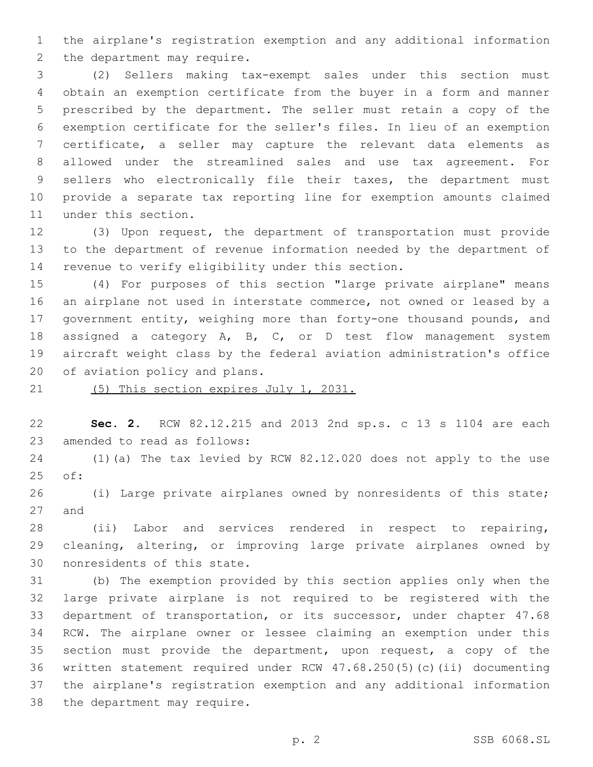the airplane's registration exemption and any additional information 2 the department may require.

 (2) Sellers making tax-exempt sales under this section must obtain an exemption certificate from the buyer in a form and manner prescribed by the department. The seller must retain a copy of the exemption certificate for the seller's files. In lieu of an exemption certificate, a seller may capture the relevant data elements as allowed under the streamlined sales and use tax agreement. For sellers who electronically file their taxes, the department must provide a separate tax reporting line for exemption amounts claimed 11 under this section.

 (3) Upon request, the department of transportation must provide to the department of revenue information needed by the department of 14 revenue to verify eligibility under this section.

 (4) For purposes of this section "large private airplane" means an airplane not used in interstate commerce, not owned or leased by a government entity, weighing more than forty-one thousand pounds, and assigned a category A, B, C, or D test flow management system aircraft weight class by the federal aviation administration's office 20 of aviation policy and plans.

(5) This section expires July 1, 2031.

 **Sec. 2.** RCW 82.12.215 and 2013 2nd sp.s. c 13 s 1104 are each 23 amended to read as follows:

 (1)(a) The tax levied by RCW 82.12.020 does not apply to the use 25 of:

 (i) Large private airplanes owned by nonresidents of this state; 27 and

 (ii) Labor and services rendered in respect to repairing, cleaning, altering, or improving large private airplanes owned by 30 nonresidents of this state.

 (b) The exemption provided by this section applies only when the large private airplane is not required to be registered with the department of transportation, or its successor, under chapter 47.68 RCW. The airplane owner or lessee claiming an exemption under this section must provide the department, upon request, a copy of the written statement required under RCW 47.68.250(5)(c)(ii) documenting the airplane's registration exemption and any additional information 38 the department may require.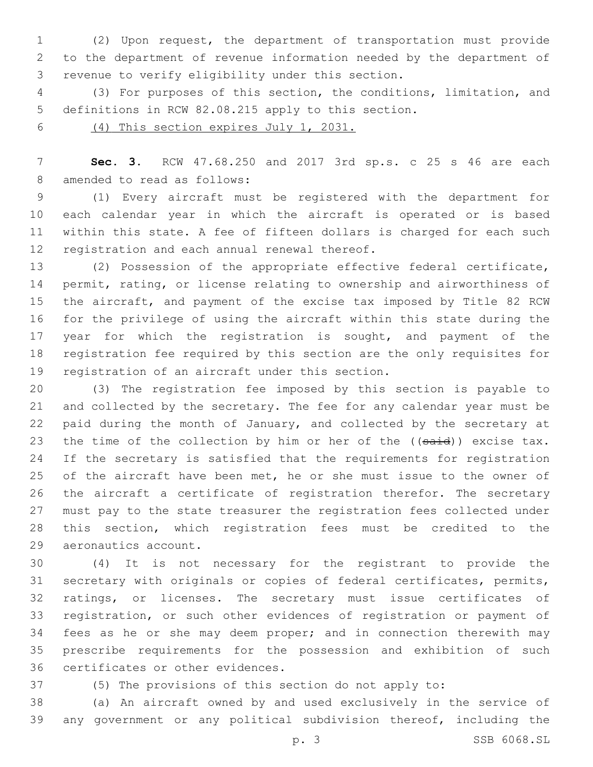(2) Upon request, the department of transportation must provide to the department of revenue information needed by the department of 3 revenue to verify eligibility under this section.

 (3) For purposes of this section, the conditions, limitation, and definitions in RCW 82.08.215 apply to this section.

(4) This section expires July 1, 2031.

 **Sec. 3.** RCW 47.68.250 and 2017 3rd sp.s. c 25 s 46 are each 8 amended to read as follows:

 (1) Every aircraft must be registered with the department for each calendar year in which the aircraft is operated or is based within this state. A fee of fifteen dollars is charged for each such 12 registration and each annual renewal thereof.

 (2) Possession of the appropriate effective federal certificate, permit, rating, or license relating to ownership and airworthiness of the aircraft, and payment of the excise tax imposed by Title 82 RCW for the privilege of using the aircraft within this state during the 17 year for which the registration is sought, and payment of the registration fee required by this section are the only requisites for 19 registration of an aircraft under this section.

 (3) The registration fee imposed by this section is payable to and collected by the secretary. The fee for any calendar year must be paid during the month of January, and collected by the secretary at 23 the time of the collection by him or her of the ((said)) excise tax. If the secretary is satisfied that the requirements for registration 25 of the aircraft have been met, he or she must issue to the owner of the aircraft a certificate of registration therefor. The secretary must pay to the state treasurer the registration fees collected under this section, which registration fees must be credited to the 29 aeronautics account.

 (4) It is not necessary for the registrant to provide the secretary with originals or copies of federal certificates, permits, ratings, or licenses. The secretary must issue certificates of registration, or such other evidences of registration or payment of 34 fees as he or she may deem proper; and in connection therewith may prescribe requirements for the possession and exhibition of such 36 certificates or other evidences.

(5) The provisions of this section do not apply to:

 (a) An aircraft owned by and used exclusively in the service of any government or any political subdivision thereof, including the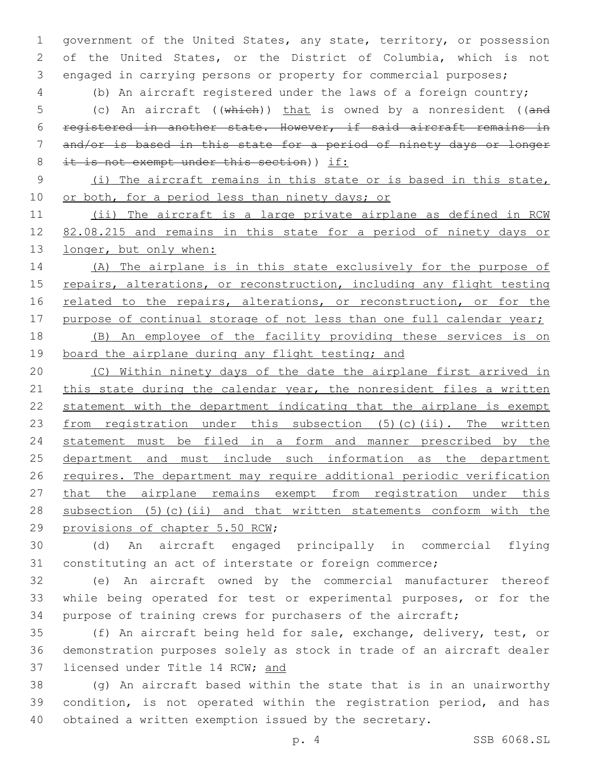1 government of the United States, any state, territory, or possession 2 of the United States, or the District of Columbia, which is not 3 engaged in carrying persons or property for commercial purposes;

4 (b) An aircraft registered under the laws of a foreign country;

5 (c) An aircraft ((which)) that is owned by a nonresident ((and 6 registered in another state. However, if said aircraft remains in 7 and/or is based in this state for a period of ninety days or longer 8 it is not exempt under this section)) if:

- 
- 9 (i) The aircraft remains in this state or is based in this state, 10 or both, for a period less than ninety days; or

11 (ii) The aircraft is a large private airplane as defined in RCW 12 82.08.215 and remains in this state for a period of ninety days or 13 longer, but only when:

14 (A) The airplane is in this state exclusively for the purpose of 15 repairs, alterations, or reconstruction, including any flight testing 16 related to the repairs, alterations, or reconstruction, or for the 17 purpose of continual storage of not less than one full calendar year;

18 (B) An employee of the facility providing these services is on 19 board the airplane during any flight testing; and

20 (C) Within ninety days of the date the airplane first arrived in 21 this state during the calendar year, the nonresident files a written 22 statement with the department indicating that the airplane is exempt 23 from registration under this subsection (5)(c)(ii). The written 24 statement must be filed in a form and manner prescribed by the 25 department and must include such information as the department 26 requires. The department may require additional periodic verification 27 that the airplane remains exempt from registration under this 28 subsection (5)(c)(ii) and that written statements conform with the 29 provisions of chapter 5.50 RCW;

30 (d) An aircraft engaged principally in commercial flying 31 constituting an act of interstate or foreign commerce;

32 (e) An aircraft owned by the commercial manufacturer thereof 33 while being operated for test or experimental purposes, or for the 34 purpose of training crews for purchasers of the aircraft;

35 (f) An aircraft being held for sale, exchange, delivery, test, or 36 demonstration purposes solely as stock in trade of an aircraft dealer 37 licensed under Title 14 RCW; and

38 (g) An aircraft based within the state that is in an unairworthy 39 condition, is not operated within the registration period, and has 40 obtained a written exemption issued by the secretary.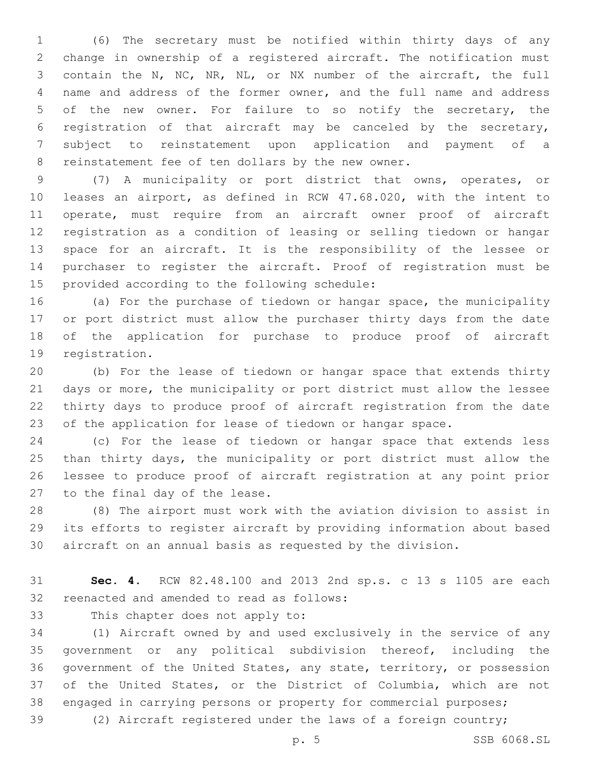(6) The secretary must be notified within thirty days of any change in ownership of a registered aircraft. The notification must contain the N, NC, NR, NL, or NX number of the aircraft, the full name and address of the former owner, and the full name and address of the new owner. For failure to so notify the secretary, the registration of that aircraft may be canceled by the secretary, subject to reinstatement upon application and payment of a 8 reinstatement fee of ten dollars by the new owner.

 (7) A municipality or port district that owns, operates, or leases an airport, as defined in RCW 47.68.020, with the intent to operate, must require from an aircraft owner proof of aircraft registration as a condition of leasing or selling tiedown or hangar space for an aircraft. It is the responsibility of the lessee or purchaser to register the aircraft. Proof of registration must be 15 provided according to the following schedule:

 (a) For the purchase of tiedown or hangar space, the municipality or port district must allow the purchaser thirty days from the date of the application for purchase to produce proof of aircraft 19 registration.

 (b) For the lease of tiedown or hangar space that extends thirty days or more, the municipality or port district must allow the lessee thirty days to produce proof of aircraft registration from the date of the application for lease of tiedown or hangar space.

 (c) For the lease of tiedown or hangar space that extends less than thirty days, the municipality or port district must allow the lessee to produce proof of aircraft registration at any point prior 27 to the final day of the lease.

 (8) The airport must work with the aviation division to assist in its efforts to register aircraft by providing information about based aircraft on an annual basis as requested by the division.

 **Sec. 4.** RCW 82.48.100 and 2013 2nd sp.s. c 13 s 1105 are each 32 reenacted and amended to read as follows:

33 This chapter does not apply to:

 (1) Aircraft owned by and used exclusively in the service of any government or any political subdivision thereof, including the government of the United States, any state, territory, or possession of the United States, or the District of Columbia, which are not engaged in carrying persons or property for commercial purposes;

(2) Aircraft registered under the laws of a foreign country;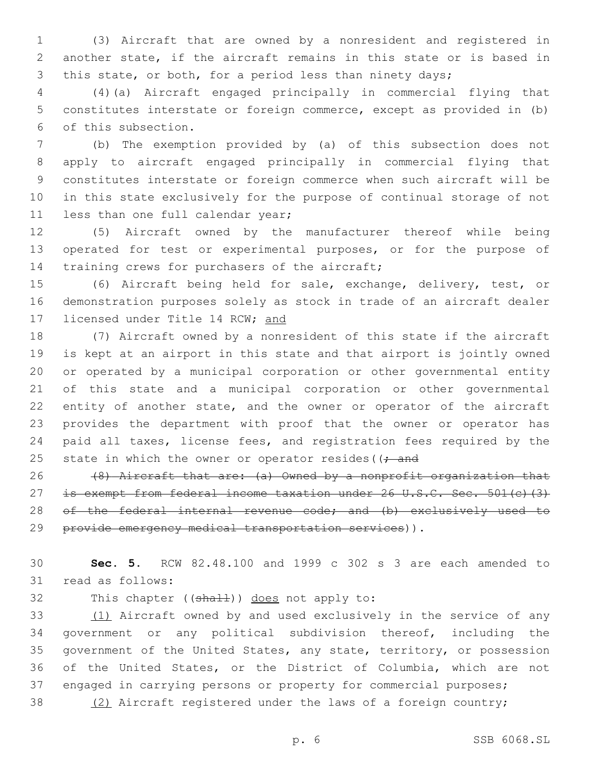(3) Aircraft that are owned by a nonresident and registered in another state, if the aircraft remains in this state or is based in this state, or both, for a period less than ninety days;

 (4)(a) Aircraft engaged principally in commercial flying that constitutes interstate or foreign commerce, except as provided in (b) 6 of this subsection.

 (b) The exemption provided by (a) of this subsection does not apply to aircraft engaged principally in commercial flying that constitutes interstate or foreign commerce when such aircraft will be in this state exclusively for the purpose of continual storage of not 11 less than one full calendar year;

 (5) Aircraft owned by the manufacturer thereof while being operated for test or experimental purposes, or for the purpose of 14 training crews for purchasers of the aircraft;

 (6) Aircraft being held for sale, exchange, delivery, test, or demonstration purposes solely as stock in trade of an aircraft dealer 17 licensed under Title 14 RCW; and

 (7) Aircraft owned by a nonresident of this state if the aircraft is kept at an airport in this state and that airport is jointly owned or operated by a municipal corporation or other governmental entity of this state and a municipal corporation or other governmental entity of another state, and the owner or operator of the aircraft provides the department with proof that the owner or operator has paid all taxes, license fees, and registration fees required by the 25 state in which the owner or operator resides ( $\left(-\right)$ 

26  $(8)$  Aircraft that are: (a) Owned by a nonprofit organization that 27 is exempt from federal income taxation under 26 U.S.C. Sec. 501(c)(3) 28 of the federal internal revenue code; and (b) exclusively used to provide emergency medical transportation services)).

 **Sec. 5.** RCW 82.48.100 and 1999 c 302 s 3 are each amended to 31 read as follows:

32 This chapter ((shall)) does not apply to:

33 (1) Aircraft owned by and used exclusively in the service of any government or any political subdivision thereof, including the government of the United States, any state, territory, or possession of the United States, or the District of Columbia, which are not 37 engaged in carrying persons or property for commercial purposes; (2) Aircraft registered under the laws of a foreign country;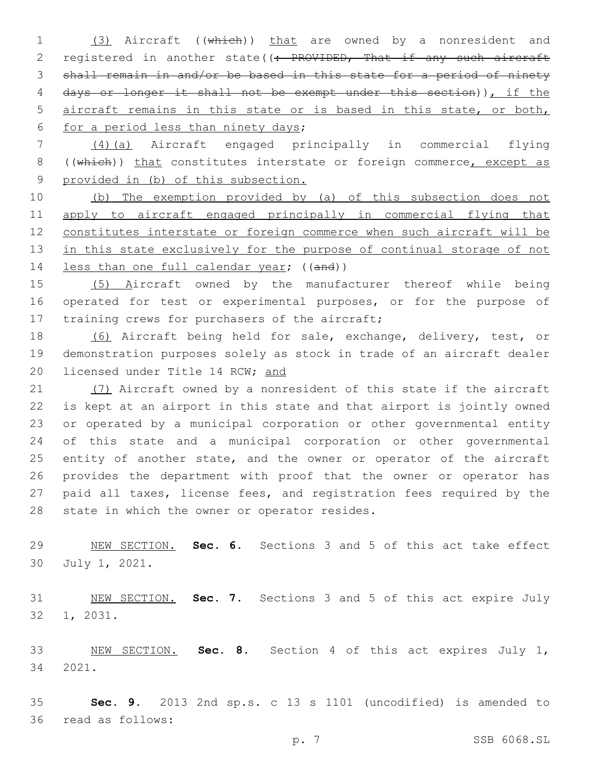1 (3) Aircraft ((which)) that are owned by a nonresident and 2 registered in another state((: PROVIDED, That if any such aircraft shall remain in and/or be based in this state for a period of ninety days or longer it shall not be exempt under this section)), if the aircraft remains in this state or is based in this state, or both, 6 for a period less than ninety days;

 (4)(a) Aircraft engaged principally in commercial flying 8 ((which)) that constitutes interstate or foreign commerce, except as provided in (b) of this subsection.

 (b) The exemption provided by (a) of this subsection does not apply to aircraft engaged principally in commercial flying that constitutes interstate or foreign commerce when such aircraft will be 13 in this state exclusively for the purpose of continual storage of not 14 less than one full calendar year; ((and))

 (5) Aircraft owned by the manufacturer thereof while being operated for test or experimental purposes, or for the purpose of 17 training crews for purchasers of the aircraft;

 (6) Aircraft being held for sale, exchange, delivery, test, or demonstration purposes solely as stock in trade of an aircraft dealer 20 licensed under Title 14 RCW; and

21 (7) Aircraft owned by a nonresident of this state if the aircraft is kept at an airport in this state and that airport is jointly owned or operated by a municipal corporation or other governmental entity of this state and a municipal corporation or other governmental 25 entity of another state, and the owner or operator of the aircraft provides the department with proof that the owner or operator has paid all taxes, license fees, and registration fees required by the 28 state in which the owner or operator resides.

 NEW SECTION. **Sec. 6.** Sections 3 and 5 of this act take effect July 1, 2021.

 NEW SECTION. **Sec. 7.** Sections 3 and 5 of this act expire July 1, 2031.

 NEW SECTION. **Sec. 8.** Section 4 of this act expires July 1, 2021.

 **Sec. 9.** 2013 2nd sp.s. c 13 s 1101 (uncodified) is amended to 36 read as follows: